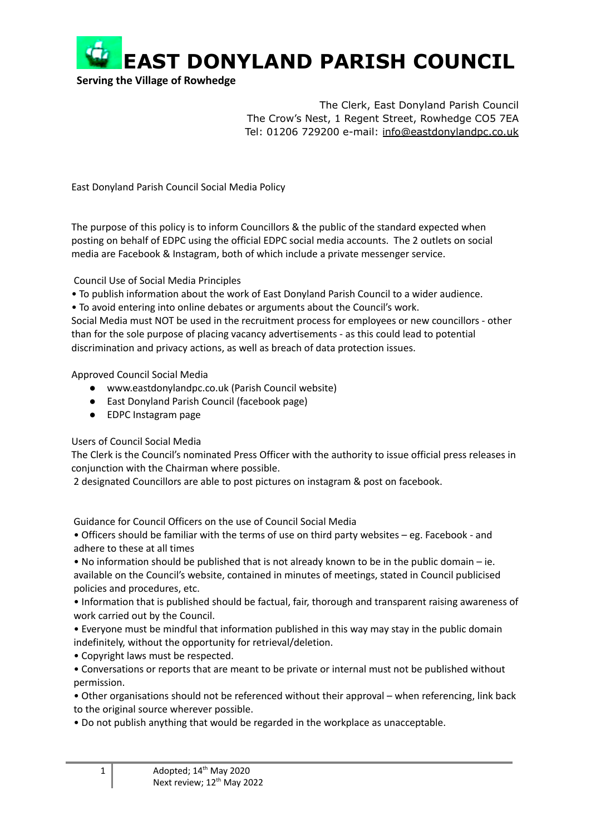

**Serving the Village of Rowhedge**

The Clerk, East Donyland Parish Council The Crow's Nest, 1 Regent Street, Rowhedge CO5 7EA Tel: 01206 729200 e-mail: [info@eastdonylandpc.co.uk](mailto:info@eastdonylandpc.co.uk)

East Donyland Parish Council Social Media Policy

The purpose of this policy is to inform Councillors & the public of the standard expected when posting on behalf of EDPC using the official EDPC social media accounts. The 2 outlets on social media are Facebook & Instagram, both of which include a private messenger service.

Council Use of Social Media Principles

- To publish information about the work of East Donyland Parish Council to a wider audience.
- To avoid entering into online debates or arguments about the Council's work.

Social Media must NOT be used in the recruitment process for employees or new councillors - other than for the sole purpose of placing vacancy advertisements - as this could lead to potential discrimination and privacy actions, as well as breach of data protection issues.

Approved Council Social Media

- www.eastdonylandpc.co.uk (Parish Council website)
- East Donyland Parish Council (facebook page)
- EDPC Instagram page

## Users of Council Social Media

The Clerk is the Council's nominated Press Officer with the authority to issue official press releases in conjunction with the Chairman where possible.

2 designated Councillors are able to post pictures on instagram & post on facebook.

Guidance for Council Officers on the use of Council Social Media

• Officers should be familiar with the terms of use on third party websites – eg. Facebook - and adhere to these at all times

• No information should be published that is not already known to be in the public domain – ie. available on the Council's website, contained in minutes of meetings, stated in Council publicised policies and procedures, etc.

• Information that is published should be factual, fair, thorough and transparent raising awareness of work carried out by the Council.

• Everyone must be mindful that information published in this way may stay in the public domain indefinitely, without the opportunity for retrieval/deletion.

• Copyright laws must be respected.

• Conversations or reports that are meant to be private or internal must not be published without permission.

• Other organisations should not be referenced without their approval – when referencing, link back to the original source wherever possible.

• Do not publish anything that would be regarded in the workplace as unacceptable.